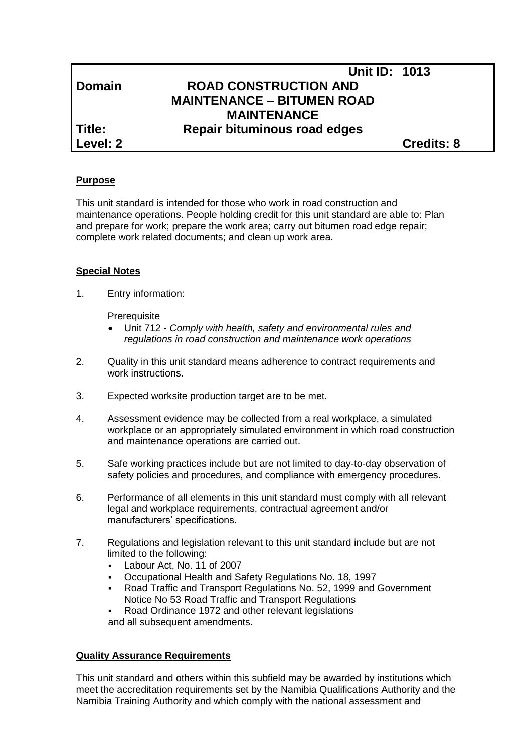|               | <b>Unit ID: 1013</b>              |                   |
|---------------|-----------------------------------|-------------------|
| <b>Domain</b> | <b>ROAD CONSTRUCTION AND</b>      |                   |
|               | <b>MAINTENANCE - BITUMEN ROAD</b> |                   |
|               | <b>MAINTENANCE</b>                |                   |
| Title:        | Repair bituminous road edges      |                   |
| Level: 2      |                                   | <b>Credits: 8</b> |
|               |                                   |                   |

### **Purpose**

This unit standard is intended for those who work in road construction and maintenance operations. People holding credit for this unit standard are able to: Plan and prepare for work; prepare the work area; carry out bitumen road edge repair; complete work related documents; and clean up work area.

### **Special Notes**

1. Entry information:

**Prerequisite** 

- Unit 712 *- Comply with health, safety and environmental rules and regulations in road construction and maintenance work operations*
- 2. Quality in this unit standard means adherence to contract requirements and work instructions.
- 3. Expected worksite production target are to be met.
- 4. Assessment evidence may be collected from a real workplace, a simulated workplace or an appropriately simulated environment in which road construction and maintenance operations are carried out.
- 5. Safe working practices include but are not limited to day-to-day observation of safety policies and procedures, and compliance with emergency procedures.
- 6. Performance of all elements in this unit standard must comply with all relevant legal and workplace requirements, contractual agreement and/or manufacturers' specifications.
- 7. Regulations and legislation relevant to this unit standard include but are not limited to the following:
	- Labour Act, No. 11 of 2007
	- Occupational Health and Safety Regulations No. 18, 1997
	- Road Traffic and Transport Regulations No. 52, 1999 and Government Notice No 53 Road Traffic and Transport Regulations
	- Road Ordinance 1972 and other relevant legislations and all subsequent amendments.

### **Quality Assurance Requirements**

This unit standard and others within this subfield may be awarded by institutions which meet the accreditation requirements set by the Namibia Qualifications Authority and the Namibia Training Authority and which comply with the national assessment and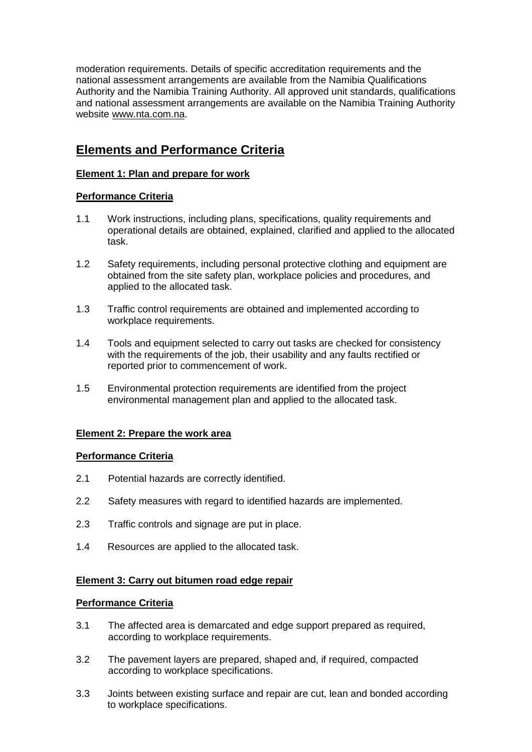moderation requirements. Details of specific accreditation requirements and the national assessment arrangements are available from the Namibia Qualifications Authority and the Namibia Training Authority. All approved unit standards, qualifications and national assessment arrangements are available on the Namibia Training Authority website [www.nta.com.na.](http://www.nta.com.na/)

# **Elements and Performance Criteria**

## **Element 1: Plan and prepare for work**

## **Performance Criteria**

- 1.1 Work instructions, including plans, specifications, quality requirements and operational details are obtained, explained, clarified and applied to the allocated task.
- 1.2 Safety requirements, including personal protective clothing and equipment are obtained from the site safety plan, workplace policies and procedures, and applied to the allocated task.
- 1.3 Traffic control requirements are obtained and implemented according to workplace requirements.
- 1.4 Tools and equipment selected to carry out tasks are checked for consistency with the requirements of the job, their usability and any faults rectified or reported prior to commencement of work.
- 1.5 Environmental protection requirements are identified from the project environmental management plan and applied to the allocated task.

### **Element 2: Prepare the work area**

### **Performance Criteria**

- 2.1 Potential hazards are correctly identified.
- 2.2 Safety measures with regard to identified hazards are implemented.
- 2.3 Traffic controls and signage are put in place.
- 1.4 Resources are applied to the allocated task.

### **Element 3: Carry out bitumen road edge repair**

### **Performance Criteria**

- 3.1 The affected area is demarcated and edge support prepared as required, according to workplace requirements.
- 3.2 The pavement layers are prepared, shaped and, if required, compacted according to workplace specifications.
- 3.3 Joints between existing surface and repair are cut, lean and bonded according to workplace specifications.